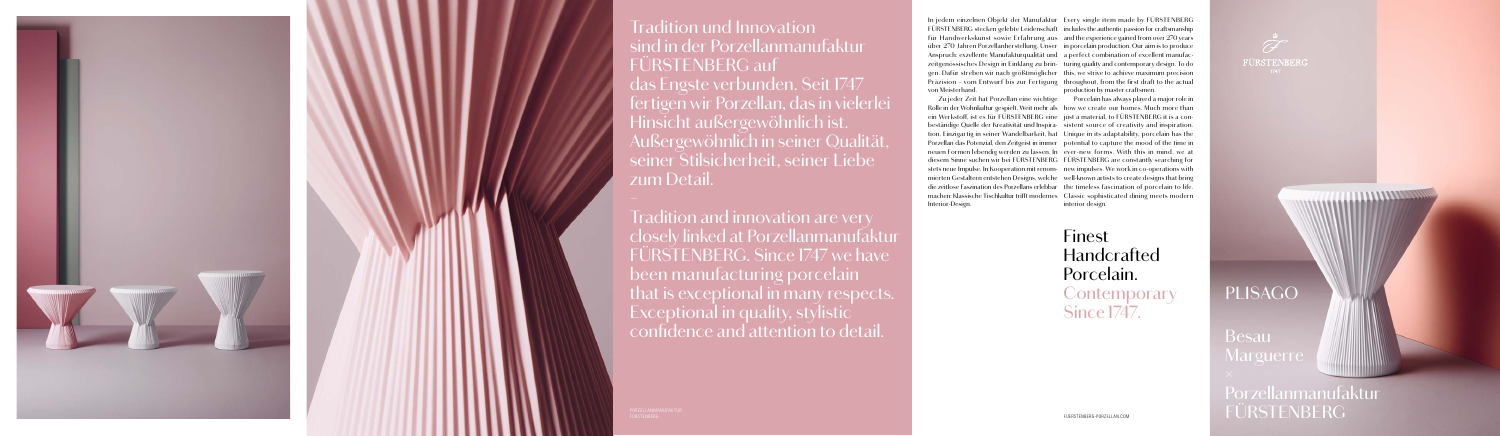## PLISAGO

Finest Handcrafted Porcelain. **Contemporary** Since 1747.





von Meisterhand.

In jedem einzelnen Objekt der Manufaktur Every single item made by FÜRSTENBERG FÜRSTENBERG stecken gelebte Leidenschaft includes the authentic passion for craftsmanship für Handwerkskunst sowie Erfahrung aus and the experience gained from over 270 years über 270 Jahren Porzellanherstellung. Unser in porcelain production. Our aim is to produce Anspruch: exzellente Manufakturqualität und a perfect combination of excellent manufaczeitgenössisches Design in Einklang zu brin-turing quality and contemporary design. To do gen. Dafür streben wir nach größtmöglicher this, we strive to achieve maximum precision Präzision – vom Entwurf bis zur Fertigung throughout, from the first draft to the actual production by master craftsmen.

Rolle in der Wohnkultur gespielt. Weit mehr als how we create our homes. Much more than ein Werkstoff, ist es für FÜRSTENBERG eine just a material, to FÜRSTENBERG it is a conbeständige Quelle der Kreativität und Inspira-sistent source of creativity and inspiration. tion. Einzigartig in seiner Wandelbarkeit, hat Unique in its adaptability, porcelain has the Porzellan das Potenzial, den Zeitgeist in immer potential to capture the mood of the time in neuen Formen lebendig werden zu lassen. In ever-new forms. With this in mind, we at diesem Sinne suchen wir bei FÜRSTENBERG FÜRSTENBERG are constantly searching for stets neue Impulse. In Kooperation mit renom-new impulses. We work in co-operations with mierten Gestaltern entstehen Designs, welche well-known artists to create designs that bring die zeitlose Faszination des Porzellans erlebbar the timeless fascination of porcelain to life. machen: Klassische Tischkultur trifft modernes Classic sophisticated dining meets modern Interior-Design.

Zu jeder Zeit hat Porzellan eine wichtige Porcelain has always played a major role in interior design.

## Tradition und Innovation sind in der Porzellanmanufaktur FÜRSTENBERG auf das Engste verbunden. Seit 1747

fertigen wir Porzellan, das in vielerlei Hinsicht außergewöhnlich ist. Außergewöhnlich in seiner Qualität, seiner Stilsicherheit, seiner Liebe zum Detail.





Tradition and innovation are very closely linked at Porzellanmanufaktur FÜRSTENBERG. Since 1747 we have been manufacturing porcelain that is exceptional in many respects. Exceptional in quality, stylistic confidence and attention to detail.

Besau **Marguerre** Porzellanmanufaktur FÜRSTENBERG